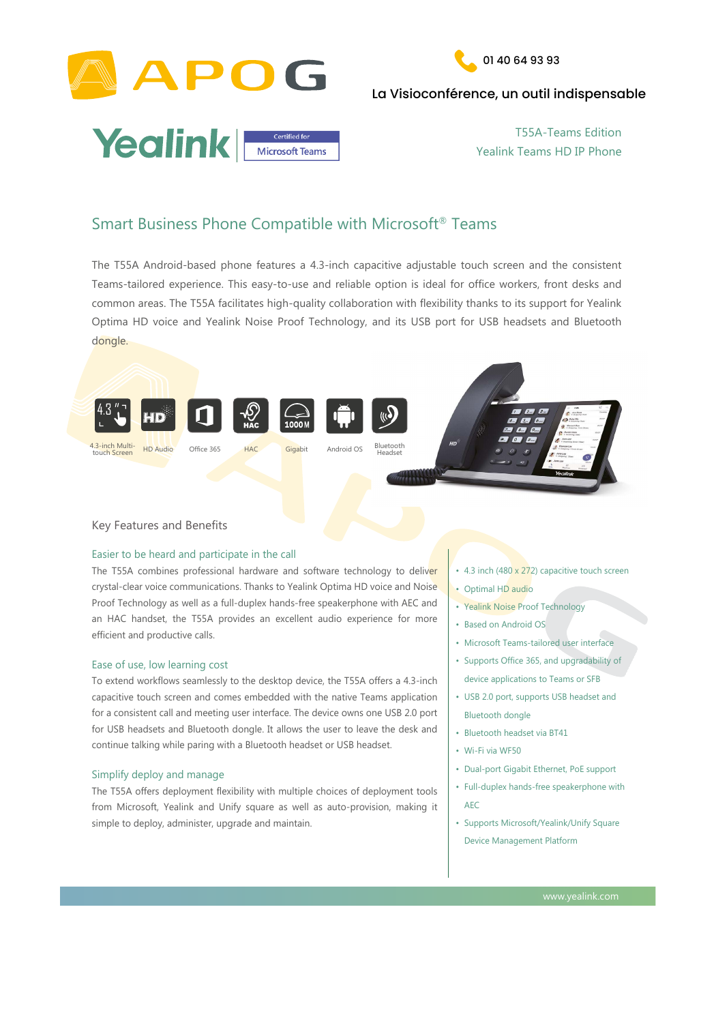



# La Visioconférence, un outil indispensable



The T55A Android-based phone features a 4.3-inch capacitive adjustable touch screen and the consistent Teams-tailored experience. This easy-to-use and reliable option is ideal for office workers, front desks and common areas. The T55A facilitates high-quality collaboration with flexibility thanks to its support for Yealink Optima HD voice and Yealink Noise Proof Technology, and its USB port for USB headsets and Bluetooth dongle.

The T55A combines professional hardware and software technology to deliver crystal-clear voice communications. Thanks to Yealink Optima HD voice and Noise Proof Technology as well as a full-duplex hands-free speakerphone with AEC and an HAC handset, the T55A provides an excellent audio experience for more efficient and productive calls.

# Easier to be heard and participate in the call



## Ease of use, low learning cost

- 4.3 inch (480 x 272) capacitive touch screen
- Optimal HD audio
- Yealink Noise Proof Technology
- Based on Android OS
- Microsoft Teams-tailored user interface
- Supports Office 365, and upgradability of device applications to Teams or SFB
- USB 2.0 port, supports USB headset and Bluetooth dongle
- Bluetooth headset via BT41
- Wi-Fi via WF50
- Dual-port Gigabit Ethernet, PoE support
- Full-duplex hands-free speakerphone with

To extend workflows seamlessly to the desktop device, the T55A offers a 4.3-inch capacitive touch screen and comes embedded with the native Teams application for a consistent call and meeting user interface. The device owns one USB 2.0 port for USB headsets and Bluetooth dongle. It allows the user to leave the desk and continue talking while paring with a Bluetooth headset or USB headset.

# Simplify deploy and manage

The T55A offers deployment flexibility with multiple choices of deployment tools from Microsoft, Yealink and Unify square as well as auto-provision, making it simple to deploy, administer, upgrade and maintain.

www.yealink.com

ww.yealink.com

Smart Business Phone Compatible with Microsoft® Teams

AEC

• Supports Microsoft/Yealink/Unify Square

Device Management Platform

T55A-Teams Edition Yealink Teams HD IP Phone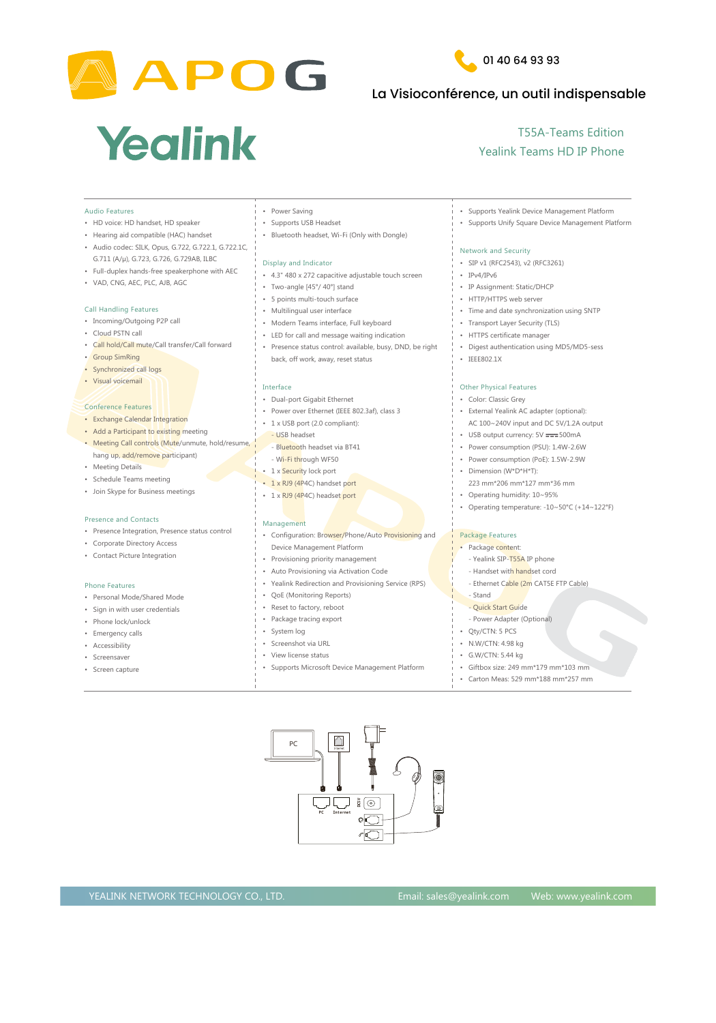



# La Visioconférence, un outil indispensable

# Yealink

# YEALINK NETWORK TECHNOLOGY CO., LTD. Email: sales@yealink.com Web: www.yealink.com

- Presence Integration, Presence status control Management
- Corporate Directory Acce
- Contact Picture Integrati

- Personal Mode/Shared
- Sign in with user credent
- Phone lock/unlock
- Emergency calls
- Accessibility
- Screensaver
- Screen capture

### Phone Features

| <b>Audio Features</b>                                | <b>Power Saving</b>                                       | <b>Supports Yealink Device Management Platform</b>                   |
|------------------------------------------------------|-----------------------------------------------------------|----------------------------------------------------------------------|
| • HD voice: HD handset, HD speaker                   | <b>Supports USB Headset</b>                               | <b>Supports Unify Square Device Management Platform</b>              |
| • Hearing aid compatible (HAC) handset               | Bluetooth headset, Wi-Fi (Only with Dongle)               |                                                                      |
| • Audio codec: SILK, Opus, G.722, G.722.1, G.722.1C, |                                                           | <b>Network and Security</b>                                          |
| G.711 (A/µ), G.723, G.726, G.729AB, ILBC             | Display and Indicator                                     | SIP v1 (RFC2543), v2 (RFC3261)                                       |
| • Full-duplex hands-free speakerphone with AEC       | • 4.3" 480 x 272 capacitive adjustable touch screen       | $\cdot$ IPv4/IPv6                                                    |
| • VAD, CNG, AEC, PLC, AJB, AGC                       | Two-angle [45°/40°] stand                                 | • IP Assignment: Static/DHCP                                         |
|                                                      | • 5 points multi-touch surface                            | • HTTP/HTTPS web server                                              |
| <b>Call Handling Features</b>                        | Multilingual user interface                               | Time and date synchronization using SNTP                             |
| • Incoming/Outgoing P2P call                         | • Modern Teams interface, Full keyboard                   |                                                                      |
| • Cloud PSTN call                                    | • LED for call and message waiting indication             | <b>Transport Layer Security (TLS)</b><br>• HTTPS certificate manager |
| • Call hold/Call mute/Call transfer/Call forward     |                                                           |                                                                      |
| • Group SimRing                                      | • Presence status control: available, busy, DND, be right | • Digest authentication using MD5/MD5-sess                           |
| Synchronized call logs                               | back, off work, away, reset status                        | IEEE802.1X                                                           |
| · Visual voicemail                                   |                                                           |                                                                      |
|                                                      | Interface                                                 | <b>Other Physical Features</b>                                       |
|                                                      | <b>Dual-port Gigabit Ethernet</b>                         | <b>Color: Classic Grey</b>                                           |
| <b>Conference Features</b>                           | • Power over Ethernet (IEEE 802.3af), class 3             | External Yealink AC adapter (optional):                              |
| • Exchange Calendar Integration                      | 1 x USB port (2.0 compliant):                             | AC $100~240V$ input and DC 5V/1.2A output                            |
| • Add a Participant to existing meeting              | - USB headset                                             | USB output currency: 5V === 500mA                                    |
| • Meeting Call controls (Mute/unmute, hold/resume,   | - Bluetooth headset via BT41                              | Power consumption (PSU): 1.4W-2.6W                                   |
| hang up, add/remove participant)                     | - Wi-Fi through WF50                                      | Power consumption (PoE): 1.5W-2.9W                                   |
| • Meeting Details                                    | 1 x Security lock port                                    | Dimension (W*D*H*T):                                                 |
| • Schedule Teams meeting                             | 1 x RJ9 (4P4C) handset port                               | 223 mm*206 mm*127 mm*36 mm                                           |
| · Join Skype for Business meetings                   | 1 x RJ9 (4P4C) headset port                               | Operating humidity: 10~95%                                           |
|                                                      |                                                           | Operating temperature: $-10~50°C$ (+14~122°F)                        |

- 
- 

- 
- 
- 
- 
- 
- 

- 
- 
- 
- 
- 
- 

| esence status control | Configuration: Browser/Phone/Auto Provisioning and        | <b>Package Features</b>               |
|-----------------------|-----------------------------------------------------------|---------------------------------------|
| <b>Cess</b>           | Device Management Platform                                | Package content:                      |
| ion                   | Provisioning priority management                          | - Yealink SIP-T55A IP phone           |
|                       | Auto Provisioning via Activation Code                     | - Handset with handset cord           |
|                       | <b>Yealink Redirection and Provisioning Service (RPS)</b> | - Ethernet Cable (2m CAT5E FTP Cable) |
| Mode                  | <b>QoE (Monitoring Reports)</b>                           | - Stand                               |
| <b>itials</b>         | Reset to factory, reboot                                  | - Quick Start Guide                   |
|                       | Package tracing export                                    | - Power Adapter (Optional)            |
|                       | System log                                                | Qty/CTN: 5 PCS                        |
|                       | Screenshot via URL                                        | N.W/CTN: 4.98 kg                      |
|                       | View license status                                       | G.W/CTN: 5.44 kg                      |
|                       | <b>Supports Microsoft Device Management Platform</b>      | Giftbox size: 249 mm*179 mm*103 mm    |
|                       |                                                           | Carton Meas: 529 mm*188 mm*257 mm     |
|                       |                                                           |                                       |

# T55A-Teams Edition Yealink Teams HD IP Phone